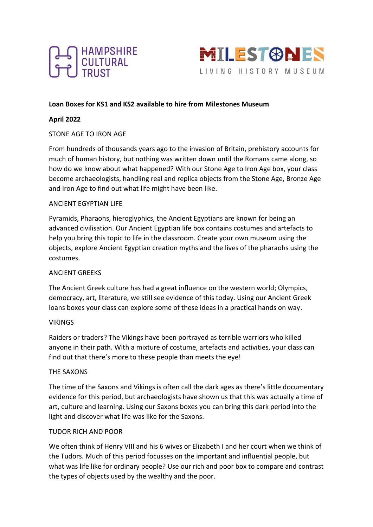



### **Loan Boxes for KS1 and KS2 available to hire from Milestones Museum**

### **April 2022**

### STONE AGE TO IRON AGE

From hundreds of thousands years ago to the invasion of Britain, prehistory accounts for much of human history, but nothing was written down until the Romans came along, so how do we know about what happened? With our Stone Age to Iron Age box, your class become archaeologists, handling real and replica objects from the Stone Age, Bronze Age and Iron Age to find out what life might have been like.

#### ANCIENT EGYPTIAN LIFE

Pyramids, Pharaohs, hieroglyphics, the Ancient Egyptians are known for being an advanced civilisation. Our Ancient Egyptian life box contains costumes and artefacts to help you bring this topic to life in the classroom. Create your own museum using the objects, explore Ancient Egyptian creation myths and the lives of the pharaohs using the costumes.

#### ANCIENT GREEKS

The Ancient Greek culture has had a great influence on the western world; Olympics, democracy, art, literature, we still see evidence of this today. Using our Ancient Greek loans boxes your class can explore some of these ideas in a practical hands on way.

#### VIKINGS

Raiders or traders? The Vikings have been portrayed as terrible warriors who killed anyone in their path. With a mixture of costume, artefacts and activities, your class can find out that there's more to these people than meets the eye!

#### THE SAXONS

The time of the Saxons and Vikings is often call the dark ages as there's little documentary evidence for this period, but archaeologists have shown us that this was actually a time of art, culture and learning. Using our Saxons boxes you can bring this dark period into the light and discover what life was like for the Saxons.

#### TUDOR RICH AND POOR

We often think of Henry VIII and his 6 wives or Elizabeth I and her court when we think of the Tudors. Much of this period focusses on the important and influential people, but what was life like for ordinary people? Use our rich and poor box to compare and contrast the types of objects used by the wealthy and the poor.